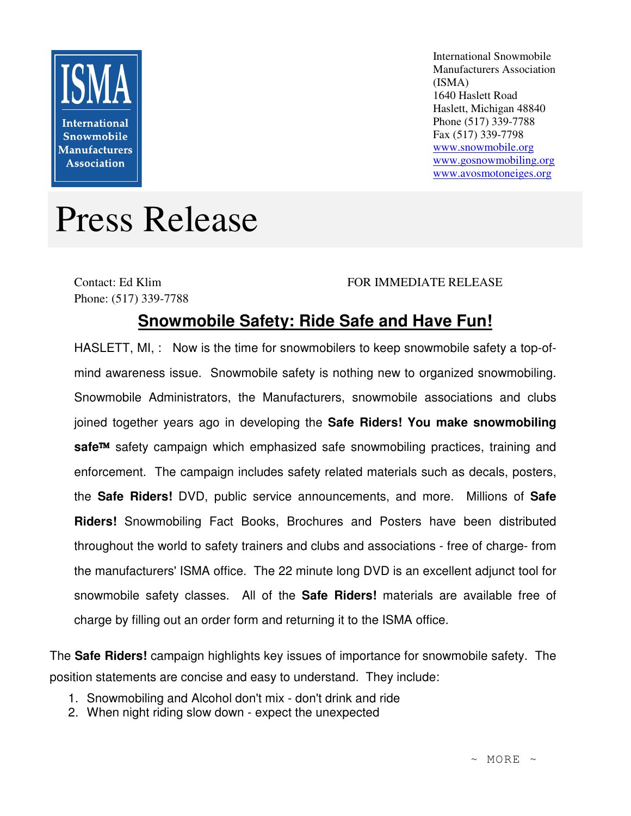

International Snowmobile Manufacturers Association (ISMA) 1640 Haslett Road Haslett, Michigan 48840 Phone (517) 339-7788 Fax (517) 339-7798 www.snowmobile.org www.gosnowmobiling.org www.avosmotoneiges.org

## Press Release

Contact: Ed Klim Phone: (517) 339-7788

## FOR IMMEDIATE RELEASE

## **Snowmobile Safety: Ride Safe and Have Fun!**

HASLETT, MI, : Now is the time for snowmobilers to keep snowmobile safety a top-ofmind awareness issue. Snowmobile safety is nothing new to organized snowmobiling. Snowmobile Administrators, the Manufacturers, snowmobile associations and clubs joined together years ago in developing the **Safe Riders! You make snowmobiling**  safe<sup>™</sup> safety campaign which emphasized safe snowmobiling practices, training and enforcement. The campaign includes safety related materials such as decals, posters, the **Safe Riders!** DVD, public service announcements, and more. Millions of **Safe Riders!** Snowmobiling Fact Books, Brochures and Posters have been distributed throughout the world to safety trainers and clubs and associations - free of charge- from the manufacturers' ISMA office. The 22 minute long DVD is an excellent adjunct tool for snowmobile safety classes. All of the **Safe Riders!** materials are available free of charge by filling out an order form and returning it to the ISMA office.

The **Safe Riders!** campaign highlights key issues of importance for snowmobile safety. The position statements are concise and easy to understand. They include:

- 1. Snowmobiling and Alcohol don't mix don't drink and ride
- 2. When night riding slow down expect the unexpected